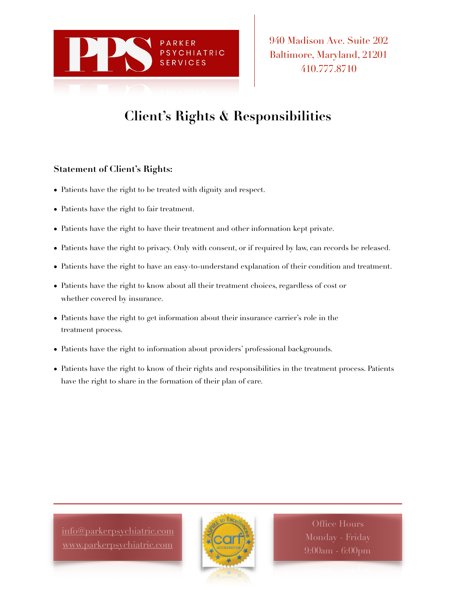

940 Madison Ave. Suite 202 Baltimore, Maryland, 21201 410.777.8710

## **Client's Rights & Responsibilities**

## **Statement of Client's Rights:**

- Patients have the right to be treated with dignity and respect.
- Patients have the right to fair treatment.
- Patients have the right to have their treatment and other information kept private.
- Patients have the right to privacy. Only with consent, or if required by law, can records be released.
- Patients have the right to have an easy-to-understand explanation of their condition and treatment.
- Patients have the right to know about all their treatment choices, regardless of cost or whether covered by insurance.
- Patients have the right to get information about their insurance carrier's role in the treatment process.
- Patients have the right to information about providers' professional backgrounds.
- Patients have the right to know of their rights and responsibilities in the treatment process. Patients have the right to share in the formation of their plan of care.

[info@parkerpsychiatric.com](mailto:info@parkerpsychiatric.com) [www.parkerpsychiatric.com](http://www.parkerpsychiatric.com)



Office Hours 9:00am - 6:00pm